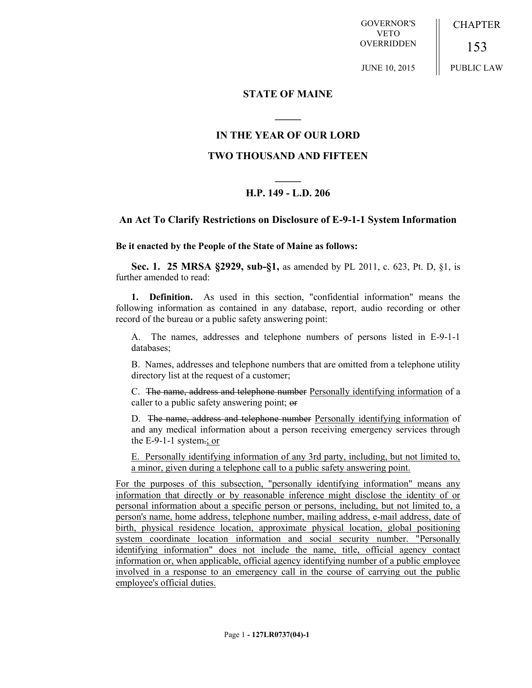GOVERNOR'S VETO **OVERRIDDEN CHAPTER** 153

JUNE 10, 2015

# PUBLIC LAW

#### **STATE OF MAINE**

### **IN THE YEAR OF OUR LORD**

**\_\_\_\_\_**

#### **TWO THOUSAND AND FIFTEEN**

## **\_\_\_\_\_ H.P. 149 - L.D. 206**

#### **An Act To Clarify Restrictions on Disclosure of E-9-1-1 System Information**

#### **Be it enacted by the People of the State of Maine as follows:**

**Sec. 1. 25 MRSA §2929, sub-§1,** as amended by PL 2011, c. 623, Pt. D, §1, is further amended to read:

**1. Definition.** As used in this section, "confidential information" means the following information as contained in any database, report, audio recording or other record of the bureau or a public safety answering point:

A. The names, addresses and telephone numbers of persons listed in E-9-1-1 databases;

B. Names, addresses and telephone numbers that are omitted from a telephone utility directory list at the request of a customer;

C. The name, address and telephone number Personally identifying information of a caller to a public safety answering point; or

D. The name, address and telephone number Personally identifying information of and any medical information about a person receiving emergency services through the  $E-9-1-1$  system.; or

E. Personally identifying information of any 3rd party, including, but not limited to, a minor, given during a telephone call to a public safety answering point.

For the purposes of this subsection, "personally identifying information" means any information that directly or by reasonable inference might disclose the identity of or personal information about a specific person or persons, including, but not limited to, a person's name, home address, telephone number, mailing address, e-mail address, date of birth, physical residence location, approximate physical location, global positioning system coordinate location information and social security number. "Personally identifying information" does not include the name, title, official agency contact information or, when applicable, official agency identifying number of a public employee involved in a response to an emergency call in the course of carrying out the public employee's official duties.